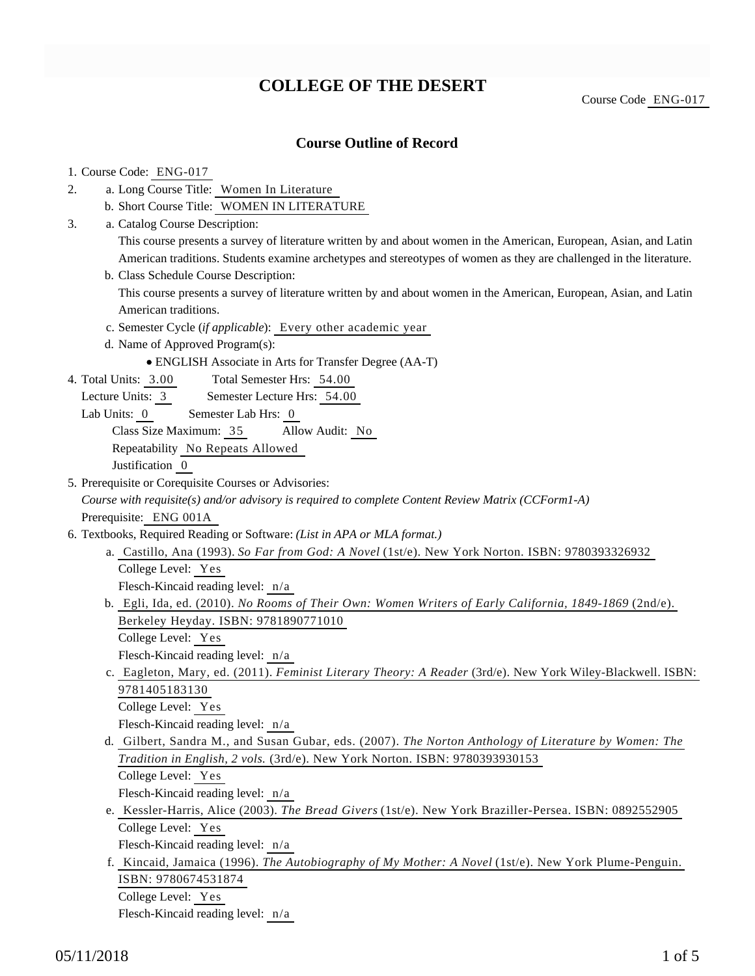# **COLLEGE OF THE DESERT**

### **Course Outline of Record**

#### 1. Course Code: ENG-017

- a. Long Course Title: Women In Literature 2.
	- b. Short Course Title: WOMEN IN LITERATURE
- Catalog Course Description: a. 3.

This course presents a survey of literature written by and about women in the American, European, Asian, and Latin American traditions. Students examine archetypes and stereotypes of women as they are challenged in the literature.

b. Class Schedule Course Description:

This course presents a survey of literature written by and about women in the American, European, Asian, and Latin American traditions.

- c. Semester Cycle (*if applicable*): Every other academic year
- d. Name of Approved Program(s):
	- ENGLISH Associate in Arts for Transfer Degree (AA-T)
- Total Semester Hrs: 54.00 4. Total Units: 3.00
	- Lecture Units: 3 Semester Lecture Hrs: 54.00
	- Lab Units: 0 Semester Lab Hrs: 0

Class Size Maximum: 35 Allow Audit: No

Repeatability No Repeats Allowed

Justification 0

- 5. Prerequisite or Corequisite Courses or Advisories: *Course with requisite(s) and/or advisory is required to complete Content Review Matrix (CCForm1-A)* Prerequisite: ENG 001A
- 6. Textbooks, Required Reading or Software: (List in APA or MLA format.)
	- a. Castillo, Ana (1993). So Far from God: A Novel (1st/e). New York Norton. ISBN: 9780393326932 College Level: Yes Flesch-Kincaid reading level: n/a b. Egli, Ida, ed. (2010). *No Rooms of Their Own: Women Writers of Early California*, 1849-1869 (2nd/e).
	- Berkeley Heyday. ISBN: 9781890771010
		- College Level: Yes

Flesch-Kincaid reading level: n/a

c. Eagleton, Mary, ed. (2011). *Feminist Literary Theory: A Reader* (3rd/e). New York Wiley-Blackwell. ISBN: 9781405183130

College Level: Yes

Flesch-Kincaid reading level: n/a

Gilbert, Sandra M., and Susan Gubar, eds. (2007). *The Norton Anthology of Literature by Women: The* d. *Tradition in English, 2 vols.* (3rd/e). New York Norton. ISBN: 9780393930153

College Level: Yes

- Flesch-Kincaid reading level: n/a
- e. Kessler-Harris, Alice (2003). *The Bread Givers* (1st/e). New York Braziller-Persea. ISBN: 0892552905 College Level: Yes

Flesch-Kincaid reading level: n/a

f. Kincaid, Jamaica (1996). *The Autobiography of My Mother: A Novel* (1st/e). New York Plume-Penguin. ISBN: 9780674531874

College Level: Yes

Flesch-Kincaid reading level: n/a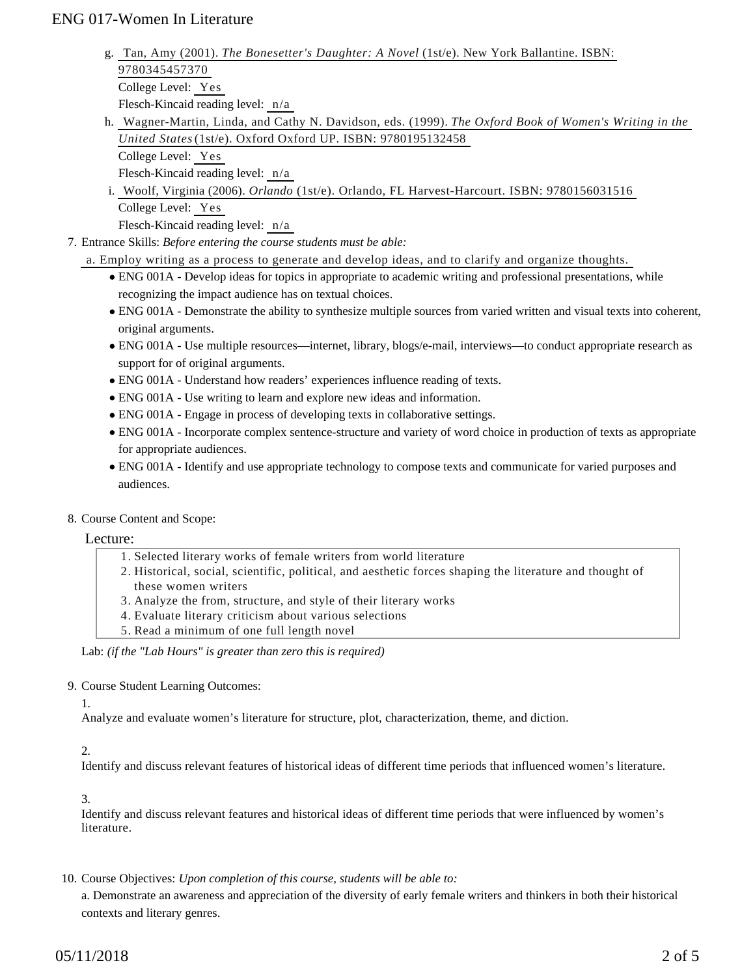- Tan, Amy (2001). *The Bonesetter's Daughter: A Novel* (1st/e). New York Ballantine. ISBN: g. 9780345457370 College Level: Yes Flesch-Kincaid reading level: n/a
- Wagner-Martin, Linda, and Cathy N. Davidson, eds. (1999). *The Oxford Book of Women's Writing in the* h. *United States* (1st/e). Oxford Oxford UP. ISBN: 9780195132458 College Level: Yes

Flesch-Kincaid reading level: n/a

i. Woolf, Virginia (2006). *Orlando* (1st/e). Orlando, FL Harvest-Harcourt. ISBN: 9780156031516 College Level: Yes

Flesch-Kincaid reading level: n/a

Entrance Skills: *Before entering the course students must be able:* 7.

a. Employ writing as a process to generate and develop ideas, and to clarify and organize thoughts.

- ENG 001A Develop ideas for topics in appropriate to academic writing and professional presentations, while recognizing the impact audience has on textual choices.
- ENG 001A Demonstrate the ability to synthesize multiple sources from varied written and visual texts into coherent, original arguments.
- ENG 001A Use multiple resources—internet, library, blogs/e-mail, interviews—to conduct appropriate research as support for of original arguments.
- ENG 001A Understand how readers' experiences influence reading of texts.
- ENG 001A Use writing to learn and explore new ideas and information.
- ENG 001A Engage in process of developing texts in collaborative settings.
- ENG 001A Incorporate complex sentence-structure and variety of word choice in production of texts as appropriate for appropriate audiences.
- ENG 001A Identify and use appropriate technology to compose texts and communicate for varied purposes and audiences.
- 8. Course Content and Scope:

#### Lecture:

- 1. Selected literary works of female writers from world literature
- 2. Historical, social, scientific, political, and aesthetic forces shaping the literature and thought of these women writers
- 3. Analyze the from, structure, and style of their literary works
- 4. Evaluate literary criticism about various selections
- 5. Read a minimum of one full length novel

Lab: *(if the "Lab Hours" is greater than zero this is required)*

#### 9. Course Student Learning Outcomes:

1.

Analyze and evaluate women's literature for structure, plot, characterization, theme, and diction.

#### 2.

Identify and discuss relevant features of historical ideas of different time periods that influenced women's literature.

3.

Identify and discuss relevant features and historical ideas of different time periods that were influenced by women's literature.

10. Course Objectives: Upon completion of this course, students will be able to:

a. Demonstrate an awareness and appreciation of the diversity of early female writers and thinkers in both their historical contexts and literary genres.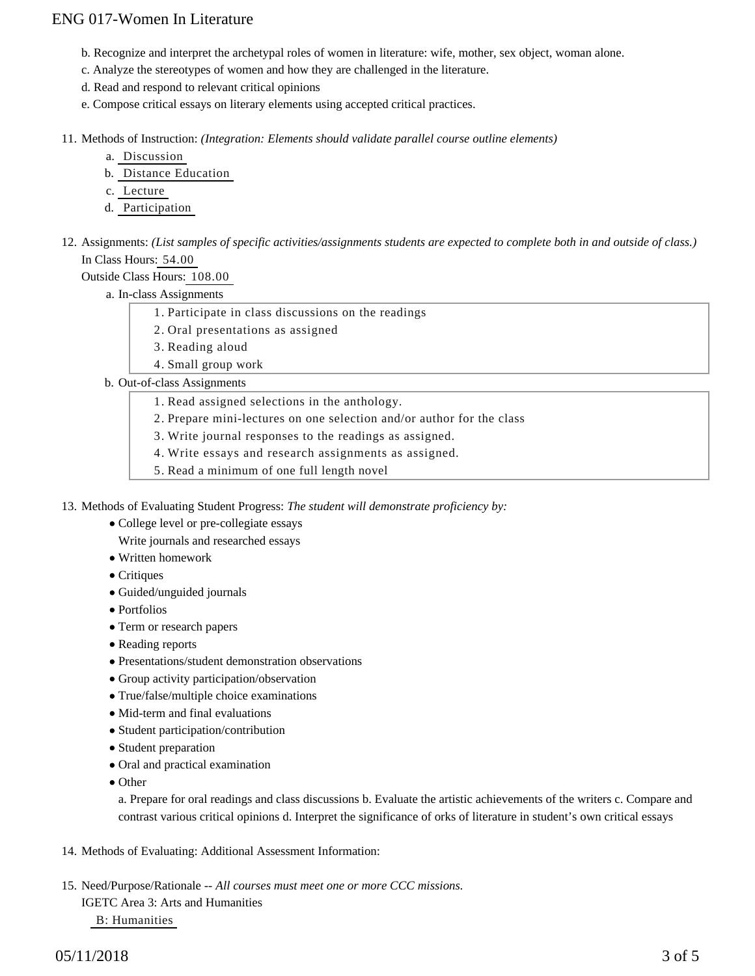- b. Recognize and interpret the archetypal roles of women in literature: wife, mother, sex object, woman alone.
- c. Analyze the stereotypes of women and how they are challenged in the literature.
- d. Read and respond to relevant critical opinions
- e. Compose critical essays on literary elements using accepted critical practices.

11. Methods of Instruction: *(Integration: Elements should validate parallel course outline elements)* 

- a. Discussion
- b. Distance Education
- c. Lecture
- d. Participation
- 12. Assignments: (List samples of specific activities/assignments students are expected to complete both in and outside of class.) In Class Hours: 54.00

Outside Class Hours: 108.00

a. In-class Assignments

- 1. Participate in class discussions on the readings
- 2. Oral presentations as assigned
- 3. Reading aloud
- 4. Small group work

b. Out-of-class Assignments

- 1. Read assigned selections in the anthology.
- 2. Prepare mini-lectures on one selection and/or author for the class
- 3. Write journal responses to the readings as assigned.
- 4. Write essays and research assignments as assigned.
- 5. Read a minimum of one full length novel

13. Methods of Evaluating Student Progress: The student will demonstrate proficiency by:

- College level or pre-collegiate essays
	- Write journals and researched essays
- Written homework
- Critiques
- Guided/unguided journals
- Portfolios
- Term or research papers
- Reading reports
- Presentations/student demonstration observations
- Group activity participation/observation
- True/false/multiple choice examinations
- Mid-term and final evaluations
- Student participation/contribution
- Student preparation
- Oral and practical examination
- Other

a. Prepare for oral readings and class discussions b. Evaluate the artistic achievements of the writers c. Compare and contrast various critical opinions d. Interpret the significance of orks of literature in student's own critical essays

14. Methods of Evaluating: Additional Assessment Information:

15. Need/Purpose/Rationale -- All courses must meet one or more CCC missions. IGETC Area 3: Arts and Humanities B: Humanities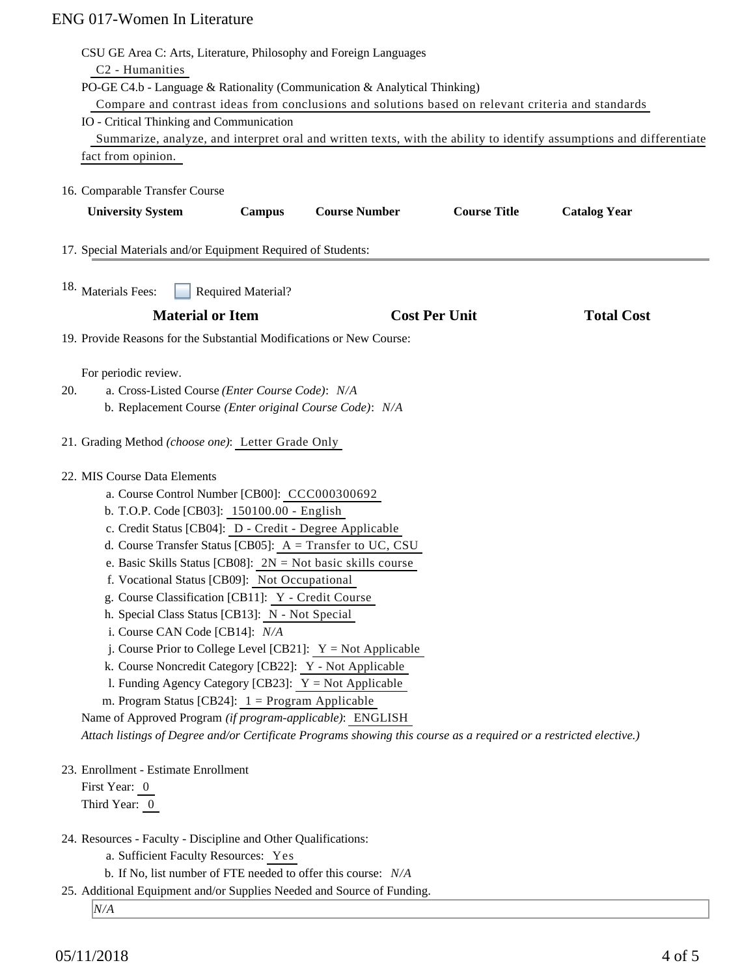| CSU GE Area C: Arts, Literature, Philosophy and Foreign Languages<br>C <sub>2</sub> - Humanities<br>PO-GE C4.b - Language & Rationality (Communication & Analytical Thinking)<br>Compare and contrast ideas from conclusions and solutions based on relevant criteria and standards<br>IO - Critical Thinking and Communication<br>Summarize, analyze, and interpret oral and written texts, with the ability to identify assumptions and differentiate<br>fact from opinion.<br>16. Comparable Transfer Course                                                                                                                                                                                                                                                                                                                                                                                                                                    |               |                      |                      |                     |
|----------------------------------------------------------------------------------------------------------------------------------------------------------------------------------------------------------------------------------------------------------------------------------------------------------------------------------------------------------------------------------------------------------------------------------------------------------------------------------------------------------------------------------------------------------------------------------------------------------------------------------------------------------------------------------------------------------------------------------------------------------------------------------------------------------------------------------------------------------------------------------------------------------------------------------------------------|---------------|----------------------|----------------------|---------------------|
| <b>University System</b>                                                                                                                                                                                                                                                                                                                                                                                                                                                                                                                                                                                                                                                                                                                                                                                                                                                                                                                           | <b>Campus</b> | <b>Course Number</b> | <b>Course Title</b>  | <b>Catalog Year</b> |
| 17. Special Materials and/or Equipment Required of Students:                                                                                                                                                                                                                                                                                                                                                                                                                                                                                                                                                                                                                                                                                                                                                                                                                                                                                       |               |                      |                      |                     |
| 18. Materials Fees:<br><b>Required Material?</b>                                                                                                                                                                                                                                                                                                                                                                                                                                                                                                                                                                                                                                                                                                                                                                                                                                                                                                   |               |                      |                      |                     |
| <b>Material or Item</b>                                                                                                                                                                                                                                                                                                                                                                                                                                                                                                                                                                                                                                                                                                                                                                                                                                                                                                                            |               |                      | <b>Cost Per Unit</b> | <b>Total Cost</b>   |
| 19. Provide Reasons for the Substantial Modifications or New Course:                                                                                                                                                                                                                                                                                                                                                                                                                                                                                                                                                                                                                                                                                                                                                                                                                                                                               |               |                      |                      |                     |
| For periodic review.<br>a. Cross-Listed Course (Enter Course Code): N/A<br>20.<br>b. Replacement Course (Enter original Course Code): N/A                                                                                                                                                                                                                                                                                                                                                                                                                                                                                                                                                                                                                                                                                                                                                                                                          |               |                      |                      |                     |
| 21. Grading Method (choose one): Letter Grade Only                                                                                                                                                                                                                                                                                                                                                                                                                                                                                                                                                                                                                                                                                                                                                                                                                                                                                                 |               |                      |                      |                     |
| 22. MIS Course Data Elements<br>a. Course Control Number [CB00]: CCC000300692<br>b. T.O.P. Code [CB03]: 150100.00 - English<br>c. Credit Status [CB04]: D - Credit - Degree Applicable<br>d. Course Transfer Status [CB05]: $A = Transfer to UC, CSU$<br>e. Basic Skills Status [CB08]: $2N = Not basic skills course$<br>f. Vocational Status [CB09]: Not Occupational<br>g. Course Classification [CB11]: Y - Credit Course<br>h. Special Class Status [CB13]: N - Not Special<br>i. Course CAN Code [CB14]: N/A<br>j. Course Prior to College Level [CB21]: $Y = Not$ Applicable<br>k. Course Noncredit Category [CB22]: Y - Not Applicable<br>1. Funding Agency Category [CB23]: $Y = Not$ Applicable<br>m. Program Status [CB24]: $1 =$ Program Applicable<br>Name of Approved Program (if program-applicable): ENGLISH<br>Attach listings of Degree and/or Certificate Programs showing this course as a required or a restricted elective.) |               |                      |                      |                     |
| 23. Enrollment - Estimate Enrollment<br>First Year: 0<br>Third Year: 0                                                                                                                                                                                                                                                                                                                                                                                                                                                                                                                                                                                                                                                                                                                                                                                                                                                                             |               |                      |                      |                     |
| 24. Resources - Faculty - Discipline and Other Qualifications:<br>a. Sufficient Faculty Resources: Yes<br>b. If No, list number of FTE needed to offer this course: N/A<br>25. Additional Equipment and/or Supplies Needed and Source of Funding.<br>N/A                                                                                                                                                                                                                                                                                                                                                                                                                                                                                                                                                                                                                                                                                           |               |                      |                      |                     |